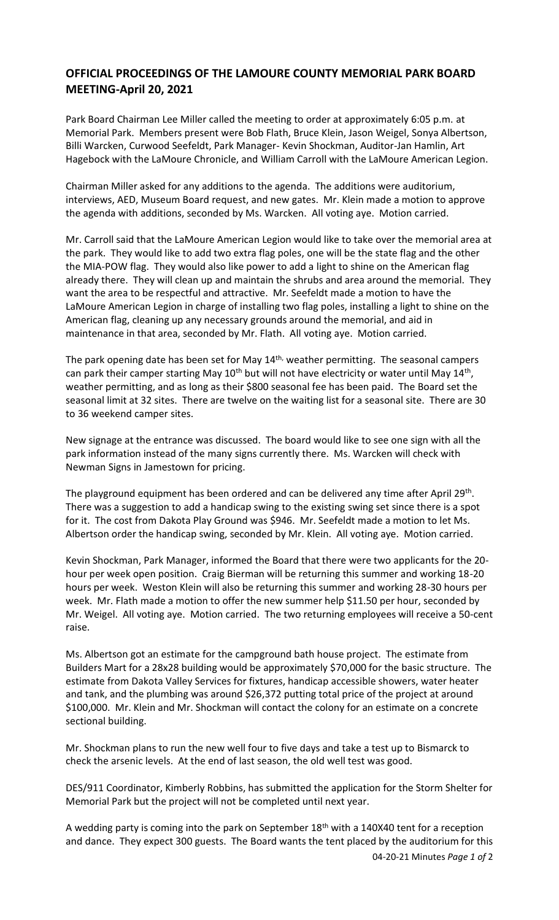## **OFFICIAL PROCEEDINGS OF THE LAMOURE COUNTY MEMORIAL PARK BOARD MEETING-April 20, 2021**

Park Board Chairman Lee Miller called the meeting to order at approximately 6:05 p.m. at Memorial Park. Members present were Bob Flath, Bruce Klein, Jason Weigel, Sonya Albertson, Billi Warcken, Curwood Seefeldt, Park Manager- Kevin Shockman, Auditor-Jan Hamlin, Art Hagebock with the LaMoure Chronicle, and William Carroll with the LaMoure American Legion.

Chairman Miller asked for any additions to the agenda. The additions were auditorium, interviews, AED, Museum Board request, and new gates. Mr. Klein made a motion to approve the agenda with additions, seconded by Ms. Warcken. All voting aye. Motion carried.

Mr. Carroll said that the LaMoure American Legion would like to take over the memorial area at the park. They would like to add two extra flag poles, one will be the state flag and the other the MIA-POW flag. They would also like power to add a light to shine on the American flag already there. They will clean up and maintain the shrubs and area around the memorial. They want the area to be respectful and attractive. Mr. Seefeldt made a motion to have the LaMoure American Legion in charge of installing two flag poles, installing a light to shine on the American flag, cleaning up any necessary grounds around the memorial, and aid in maintenance in that area, seconded by Mr. Flath. All voting aye. Motion carried.

The park opening date has been set for May 14<sup>th,</sup> weather permitting. The seasonal campers can park their camper starting May 10<sup>th</sup> but will not have electricity or water until May 14<sup>th</sup>, weather permitting, and as long as their \$800 seasonal fee has been paid. The Board set the seasonal limit at 32 sites. There are twelve on the waiting list for a seasonal site. There are 30 to 36 weekend camper sites.

New signage at the entrance was discussed. The board would like to see one sign with all the park information instead of the many signs currently there. Ms. Warcken will check with Newman Signs in Jamestown for pricing.

The playground equipment has been ordered and can be delivered any time after April 29<sup>th</sup>. There was a suggestion to add a handicap swing to the existing swing set since there is a spot for it. The cost from Dakota Play Ground was \$946. Mr. Seefeldt made a motion to let Ms. Albertson order the handicap swing, seconded by Mr. Klein. All voting aye. Motion carried.

Kevin Shockman, Park Manager, informed the Board that there were two applicants for the 20 hour per week open position. Craig Bierman will be returning this summer and working 18-20 hours per week. Weston Klein will also be returning this summer and working 28-30 hours per week. Mr. Flath made a motion to offer the new summer help \$11.50 per hour, seconded by Mr. Weigel. All voting aye. Motion carried. The two returning employees will receive a 50-cent raise.

Ms. Albertson got an estimate for the campground bath house project. The estimate from Builders Mart for a 28x28 building would be approximately \$70,000 for the basic structure. The estimate from Dakota Valley Services for fixtures, handicap accessible showers, water heater and tank, and the plumbing was around \$26,372 putting total price of the project at around \$100,000. Mr. Klein and Mr. Shockman will contact the colony for an estimate on a concrete sectional building.

Mr. Shockman plans to run the new well four to five days and take a test up to Bismarck to check the arsenic levels. At the end of last season, the old well test was good.

DES/911 Coordinator, Kimberly Robbins, has submitted the application for the Storm Shelter for Memorial Park but the project will not be completed until next year.

04-20-21 Minutes *Page 1 of* 2 A wedding party is coming into the park on September 18<sup>th</sup> with a 140X40 tent for a reception and dance. They expect 300 guests. The Board wants the tent placed by the auditorium for this